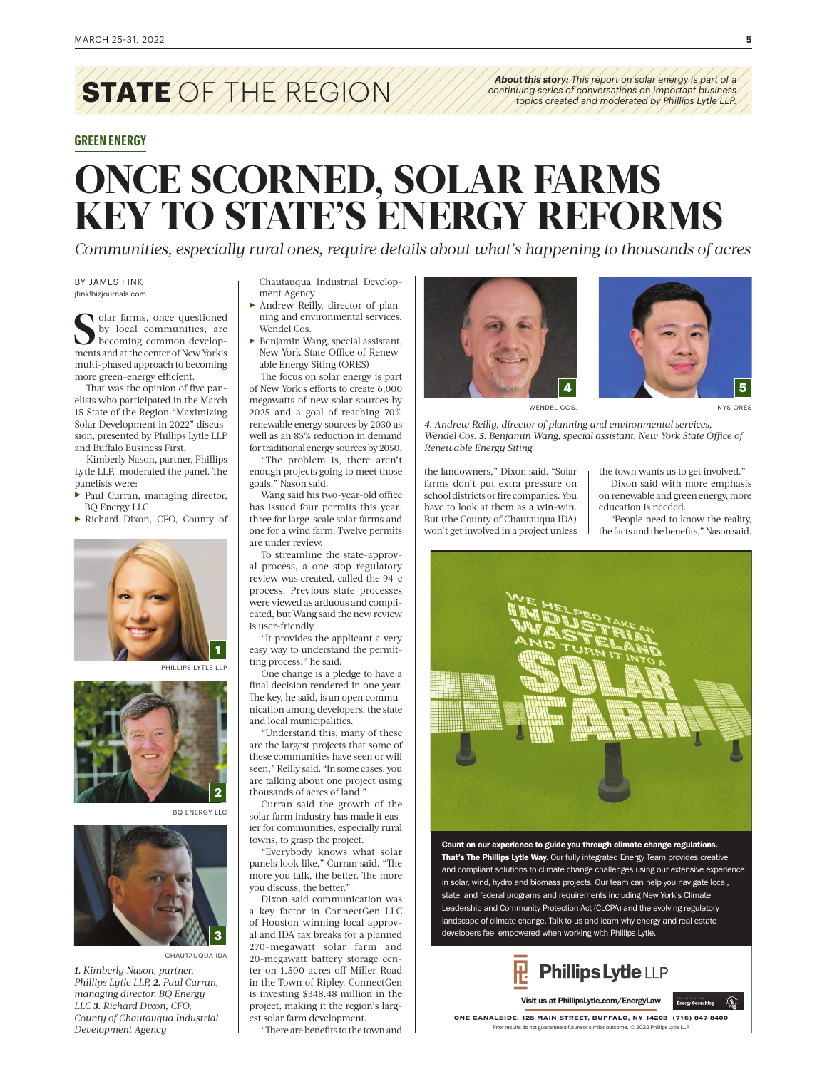## **STATE** OF THE REGION

## **GREEN ENERGY**

*About this story: This report on solar energy is part of a continuing series of conversations on important business topics created and moderated by Phillips Lytle LLP.*

## **ONCE SCORNED, SOLAR FARMS KEY TO STATE'S ENERGY REFORMS**

*Communities, especially rural ones, require details about what's happening to thousands of acres*

BY JAMES FINK jfink!bizjournals.com

**S**solar farms, once questioned<br>by local communities, are<br>becoming common developbecoming common developments and at the center of New York's multi-phased approach to becoming more green-energy efficient.

That was the opinion of five panelists who participated in the March 15 State of the Region "Maximizing Solar Development in 2022" discussion, presented by Phillips Lytle LLP and Buffalo Business First.

Kimberly Nason, partner, Phillips Lytle LLP, moderated the panel. The panelists were:

- $\blacktriangleright$  Paul Curran, managing director, BQ Energy LLC
- Richard Dixon, CFO, County of



—<br>PHILLIPS LYTLE LLP



BQ ENERGY LLC



CHAUTAUQUA IDA

*1. Kimberly Nason, partner, Phillips Lytle LLP, 2. Paul Curran, managing director, BQ Energy LLC 3. Richard Dixon, CFO, County of Chautauqua Industrial Development Agency*

Chautauqua Industrial Development Agency

- Andrew Reilly, director of planning and environmental services, Wendel Cos.
- $\blacktriangleright$  Benjamin Wang, special assistant, New York State Office of Renewable Energy Siting (ORES)

The focus on solar energy is part of New York's efforts to create 6,000 megawatts of new solar sources by 2025 and a goal of reaching 70% renewable energy sources by 2030 as well as an 85% reduction in demand for traditional energy sources by 2050.

"The problem is, there aren't enough projects going to meet those goals," Nason said.

Wang said his two-year-old office has issued four permits this year: three for large-scale solar farms and one for a wind farm. Twelve permits are under review.

To streamline the state-approval process, a one-stop regulatory review was created, called the 94-c process. Previous state processes were viewed as arduous and complicated, but Wang said the new review is user-friendly.

"It provides the applicant a very easy way to understand the permitting process," he said.

One change is a pledge to have a final decision rendered in one year. The key, he said, is an open communication among developers, the state and local municipalities.

"Understand this, many of these are the largest projects that some of these communities have seen or will seen," Reilly said. "In some cases, you are talking about one project using thousands of acres of land."

Curran said the growth of the solar farm industry has made it easier for communities, especially rural towns, to grasp the project.

"Everybody knows what solar panels look like," Curran said. "The more you talk, the better. The more you discuss, the better."

Dixon said communication was a key factor in ConnectGen LLC of Houston winning local approval and IDA tax breaks for a planned 270-megawatt solar farm and 20-megawatt battery storage center on 1,500 acres off Miller Road in the Town of Ripley. ConnectGen is investing \$348.48 million in the project, making it the region's largest solar farm development.

"There are benefits to the town and





NYS ORES

*4. Andrew Reilly, director of planning and environmental services, Wendel Cos. 5. Benjamin Wang, special assistant, New York State Office of Renewable Energy Siting* 

the landowners," Dixon said. "Solar farms don't put extra pressure on school districts or fire companies. You have to look at them as a win-win. But (the County of Chautauqua IDA) won't get involved in a project unless the town wants us to get involved." Dixon said with more emphasis on renewable and green energy, more education is needed.

"People need to know the reality, the facts and the benefits," Nason said.



Count on our experience to guide you through climate change regulations. That's The Phillips Lytle Way. Our fully integrated Energy Team provides creative and compliant solutions to climate change challenges using our extensive experience in solar, wind, hydro and biomass projects. Our team can help you navigate local, state, and federal programs and requirements including New York's Climate Leadership and Community Protection Act (CLCPA) and the evolving regulatory landscape of climate change. Talk to us and learn why energy and real estate developers feel empowered when working with Phillips Lytle.